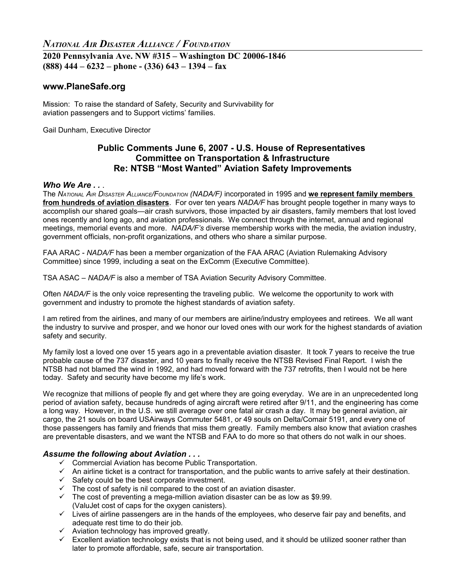# *NATIONAL AIR DISASTER ALLIANCE / FOUNDATION*

## **2020 Pennsylvania Ave. NW #315 – Washington DC 20006-1846 (888) 444 – 6232 – phone - (336) 643 – 1394 – fax**

## **www.PlaneSafe.org**

Mission: To raise the standard of Safety, Security and Survivability for aviation passengers and to Support victims' families.

Gail Dunham, Executive Director

## **Public Comments June 6, 2007 - U.S. House of Representatives Committee on Transportation & Infrastructure Re: NTSB "Most Wanted" Aviation Safety Improvements**

#### *Who We Are . .* .

The *NATIONAL AIR DISASTER ALLIANCE/FOUNDATION (NADA/F)* incorporated in 1995 and **we represent family members from hundreds of aviation disasters**. For over ten years *NADA/F* has brought people together in many ways to accomplish our shared goals—air crash survivors, those impacted by air disasters, family members that lost loved ones recently and long ago, and aviation professionals. We connect through the internet, annual and regional meetings, memorial events and more. *NADA/F's* diverse membership works with the media, the aviation industry, government officials, non-profit organizations, and others who share a similar purpose.

FAA ARAC - *NADA/F* has been a member organization of the FAA ARAC (Aviation Rulemaking Advisory Committee) since 1999, including a seat on the ExComm (Executive Committee).

TSA ASAC – *NADA/F* is also a member of TSA Aviation Security Advisory Committee.

Often *NADA/F* is the only voice representing the traveling public. We welcome the opportunity to work with government and industry to promote the highest standards of aviation safety.

I am retired from the airlines, and many of our members are airline/industry employees and retirees. We all want the industry to survive and prosper, and we honor our loved ones with our work for the highest standards of aviation safety and security.

My family lost a loved one over 15 years ago in a preventable aviation disaster. It took 7 years to receive the true probable cause of the 737 disaster, and 10 years to finally receive the NTSB Revised Final Report. I wish the NTSB had not blamed the wind in 1992, and had moved forward with the 737 retrofits, then I would not be here today. Safety and security have become my life's work.

We recognize that millions of people fly and get where they are going everyday. We are in an unprecedented long period of aviation safety, because hundreds of aging aircraft were retired after 9/11, and the engineering has come a long way. However, in the U.S. we still average over one fatal air crash a day. It may be general aviation, air cargo, the 21 souls on board USAirways Commuter 5481, or 49 souls on Delta/Comair 5191, and every one of those passengers has family and friends that miss them greatly. Family members also know that aviation crashes are preventable disasters, and we want the NTSB and FAA to do more so that others do not walk in our shoes.

#### *Assume the following about Aviation . . .*

- $\checkmark$  Commercial Aviation has become Public Transportation.
- $\checkmark$  An airline ticket is a contract for transportation, and the public wants to arrive safely at their destination.
- $\checkmark$  Safety could be the best corporate investment.
- $\checkmark$  The cost of safety is nil compared to the cost of an aviation disaster.
- $\checkmark$  The cost of preventing a mega-million aviation disaster can be as low as \$9.99. (ValuJet cost of caps for the oxygen canisters).
- $\checkmark$  Lives of airline passengers are in the hands of the employees, who deserve fair pay and benefits, and adequate rest time to do their job.
- $\checkmark$  Aviation technology has improved greatly.
- $\checkmark$  Excellent aviation technology exists that is not being used, and it should be utilized sooner rather than later to promote affordable, safe, secure air transportation.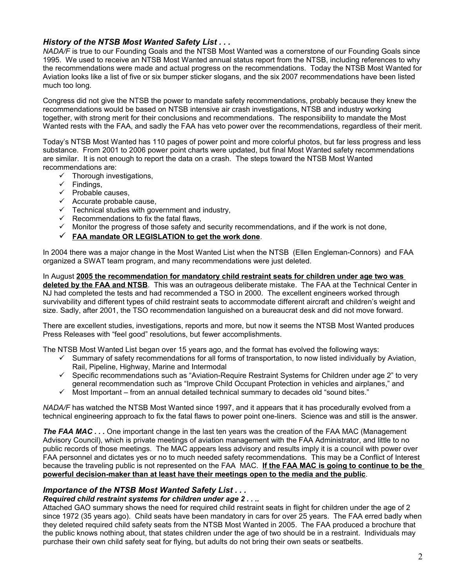## *History of the NTSB Most Wanted Safety List . . .*

*NADA/F* is true to our Founding Goals and the NTSB Most Wanted was a cornerstone of our Founding Goals since 1995. We used to receive an NTSB Most Wanted annual status report from the NTSB, including references to why the recommendations were made and actual progress on the recommendations. Today the NTSB Most Wanted for Aviation looks like a list of five or six bumper sticker slogans, and the six 2007 recommendations have been listed much too long.

Congress did not give the NTSB the power to mandate safety recommendations, probably because they knew the recommendations would be based on NTSB intensive air crash investigations, NTSB and industry working together, with strong merit for their conclusions and recommendations. The responsibility to mandate the Most Wanted rests with the FAA, and sadly the FAA has veto power over the recommendations, regardless of their merit.

Today's NTSB Most Wanted has 110 pages of power point and more colorful photos, but far less progress and less substance. From 2001 to 2006 power point charts were updated, but final Most Wanted safety recommendations are similar. It is not enough to report the data on a crash. The steps toward the NTSB Most Wanted recommendations are:

- $\checkmark$  Thorough investigations,
- $\checkmark$  Findings,
- $\checkmark$  Probable causes,
- $\checkmark$  Accurate probable cause,
- $\checkmark$  Technical studies with government and industry,
- $\checkmark$  Recommendations to fix the fatal flaws,
- $\checkmark$  Monitor the progress of those safety and security recommendations, and if the work is not done,
- **FAA mandate OR LEGISLATION to get the work done**.

In 2004 there was a major change in the Most Wanted List when the NTSB (Ellen Engleman-Connors) and FAA organized a SWAT team program, and many recommendations were just deleted.

In August **2005 the recommendation for mandatory child restraint seats for children under age two was deleted by the FAA and NTSB**. This was an outrageous deliberate mistake. The FAA at the Technical Center in NJ had completed the tests and had recommended a TSO in 2000. The excellent engineers worked through survivability and different types of child restraint seats to accommodate different aircraft and children's weight and size. Sadly, after 2001, the TSO recommendation languished on a bureaucrat desk and did not move forward.

There are excellent studies, investigations, reports and more, but now it seems the NTSB Most Wanted produces Press Releases with "feel good" resolutions, but fewer accomplishments.

The NTSB Most Wanted List began over 15 years ago, and the format has evolved the following ways:

- Summary of safety recommendations for all forms of transportation, to now listed individually by Aviation, Rail, Pipeline, Highway, Marine and Intermodal
- Specific recommendations such as "Aviation-Require Restraint Systems for Children under age 2" to very general recommendation such as "Improve Child Occupant Protection in vehicles and airplanes," and
- Most Important from an annual detailed technical summary to decades old "sound bites."

*NADA/F* has watched the NTSB Most Wanted since 1997, and it appears that it has procedurally evolved from a technical engineering approach to fix the fatal flaws to power point one-liners. Science was and still is the answer.

**The FAA MAC...** One important change in the last ten years was the creation of the FAA MAC (Management Advisory Council), which is private meetings of aviation management with the FAA Administrator, and little to no public records of those meetings. The MAC appears less advisory and results imply it is a council with power over FAA personnel and dictates yes or no to much needed safety recommendations. This may be a Conflict of Interest because the traveling public is not represented on the FAA MAC. **If the FAA MAC is going to continue to be the powerful decision-maker than at least have their meetings open to the media and the public**.

### *Importance of the NTSB Most Wanted Safety List . . .*

### *Required child restraint systems for children under age 2 . . ..*

Attached GAO summary shows the need for required child restraint seats in flight for children under the age of 2 since 1972 (35 years ago). Child seats have been mandatory in cars for over 25 years. The FAA erred badly when they deleted required child safety seats from the NTSB Most Wanted in 2005. The FAA produced a brochure that the public knows nothing about, that states children under the age of two should be in a restraint. Individuals may purchase their own child safety seat for flying, but adults do not bring their own seats or seatbelts.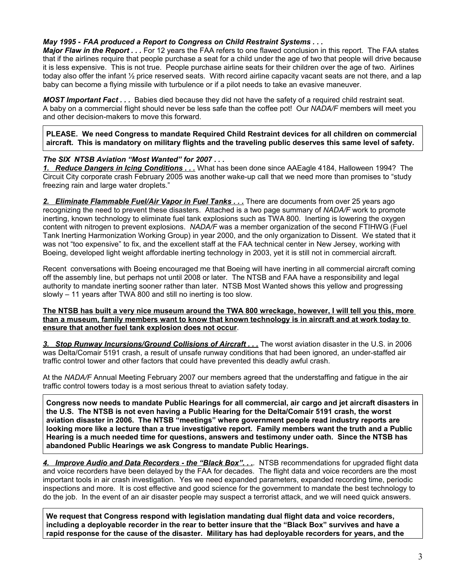### *May 1995 - FAA produced a Report to Congress on Child Restraint Systems . . .*

*Major Flaw in the Report . . .* For 12 years the FAA refers to one flawed conclusion in this report. The FAA states that if the airlines require that people purchase a seat for a child under the age of two that people will drive because it is less expensive. This is not true. People purchase airline seats for their children over the age of two. Airlines today also offer the infant ½ price reserved seats. With record airline capacity vacant seats are not there, and a lap baby can become a flying missile with turbulence or if a pilot needs to take an evasive maneuver.

*MOST Important Fact . . .* Babies died because they did not have the safety of a required child restraint seat. A baby on a commercial flight should never be less safe than the coffee pot! Our *NADA/F* members will meet you and other decision-makers to move this forward.

**PLEASE. We need Congress to mandate Required Child Restraint devices for all children on commercial aircraft. This is mandatory on military flights and the traveling public deserves this same level of safety.** 

### *The SIX NTSB Aviation "Most Wanted" for 2007 . . .*

*1. Reduce Dangers in Icing Conditions . . .* What has been done since AAEagle 4184, Halloween 1994? The Circuit City corporate crash February 2005 was another wake-up call that we need more than promises to "study freezing rain and large water droplets."

2. Eliminate Flammable Fuel/Air Vapor in Fuel Tanks . . . There are documents from over 25 years ago recognizing the need to prevent these disasters. Attached is a two page summary of *NADA/F* work to promote inerting, known technology to eliminate fuel tank explosions such as TWA 800. Inerting is lowering the oxygen content with nitrogen to prevent explosions. *NADA/F* was a member organization of the second FTIHWG (Fuel Tank Inerting Harmonization Working Group) in year 2000, and the only organization to Dissent. We stated that it was not "too expensive" to fix, and the excellent staff at the FAA technical center in New Jersey, working with Boeing, developed light weight affordable inerting technology in 2003, yet it is still not in commercial aircraft.

Recent conversations with Boeing encouraged me that Boeing will have inerting in all commercial aircraft coming off the assembly line, but perhaps not until 2008 or later. The NTSB and FAA have a responsibility and legal authority to mandate inerting sooner rather than later. NTSB Most Wanted shows this yellow and progressing slowly – 11 years after TWA 800 and still no inerting is too slow.

#### **The NTSB has built a very nice museum around the TWA 800 wreckage, however, I will tell you this, more than a museum, family members want to know that known technology is in aircraft and at work today to ensure that another fuel tank explosion does not occur**.

*3. Stop Runway Incursions/Ground Collisions of Aircraft . . .* The worst aviation disaster in the U.S. in 2006 was Delta/Comair 5191 crash, a result of unsafe runway conditions that had been ignored, an under-staffed air traffic control tower and other factors that could have prevented this deadly awful crash.

At the *NADA/F* Annual Meeting February 2007 our members agreed that the understaffing and fatigue in the air traffic control towers today is a most serious threat to aviation safety today.

**Congress now needs to mandate Public Hearings for all commercial, air cargo and jet aircraft disasters in the U.S. The NTSB is not even having a Public Hearing for the Delta/Comair 5191 crash, the worst aviation disaster in 2006. The NTSB "meetings" where government people read industry reports are looking more like a lecture than a true investigative report. Family members want the truth and a Public Hearing is a much needed time for questions, answers and testimony under oath. Since the NTSB has abandoned Public Hearings we ask Congress to mandate Public Hearings.** 

*4. Improve Audio and Data Recorders - the "Black Box". . ..* NTSB recommendations for upgraded flight data and voice recorders have been delayed by the FAA for decades. The flight data and voice recorders are the most important tools in air crash investigation. Yes we need expanded parameters, expanded recording time, periodic inspections and more. It is cost effective and good science for the government to mandate the best technology to do the job. In the event of an air disaster people may suspect a terrorist attack, and we will need quick answers.

**We request that Congress respond with legislation mandating dual flight data and voice recorders, including a deployable recorder in the rear to better insure that the "Black Box" survives and have a rapid response for the cause of the disaster. Military has had deployable recorders for years, and the**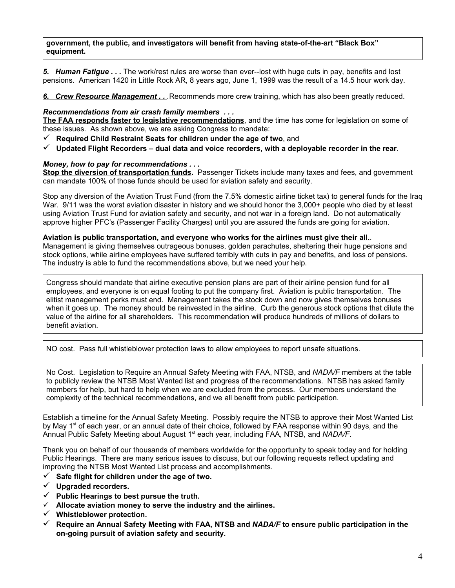#### **government, the public, and investigators will benefit from having state-of-the-art "Black Box" equipment.**

*5. Human Fatigue . . .* The work/rest rules are worse than ever--lost with huge cuts in pay, benefits and lost pensions. American 1420 in Little Rock AR, 8 years ago, June 1, 1999 was the result of a 14.5 hour work day.

*6. Crew Resource Management . . .*Recommends more crew training, which has also been greatly reduced.

#### *Recommendations from air crash family members . . .*

**The FAA responds faster to legislative recommendations**, and the time has come for legislation on some of these issues. As shown above, we are asking Congress to mandate:

- **Required Child Restraint Seats for children under the age of two**, and
- **Updated Flight Recorders dual data and voice recorders, with a deployable recorder in the rear**.

#### *Money, how to pay for recommendations . . .*

**Stop the diversion of transportation funds.** Passenger Tickets include many taxes and fees, and government can mandate 100% of those funds should be used for aviation safety and security.

Stop any diversion of the Aviation Trust Fund (from the 7.5% domestic airline ticket tax) to general funds for the Iraq War. 9/11 was the worst aviation disaster in history and we should honor the 3,000+ people who died by at least using Aviation Trust Fund for aviation safety and security, and not war in a foreign land. Do not automatically approve higher PFC's (Passenger Facility Charges) until you are assured the funds are going for aviation.

#### **Aviation is public transportation, and everyone who works for the airlines must give their all.**.

Management is giving themselves outrageous bonuses, golden parachutes, sheltering their huge pensions and stock options, while airline employees have suffered terribly with cuts in pay and benefits, and loss of pensions. The industry is able to fund the recommendations above, but we need your help.

Congress should mandate that airline executive pension plans are part of their airline pension fund for all employees, and everyone is on equal footing to put the company first. Aviation is public transportation. The elitist management perks must end. Management takes the stock down and now gives themselves bonuses when it goes up. The money should be reinvested in the airline. Curb the generous stock options that dilute the value of the airline for all shareholders. This recommendation will produce hundreds of millions of dollars to benefit aviation.

NO cost. Pass full whistleblower protection laws to allow employees to report unsafe situations.

No Cost. Legislation to Require an Annual Safety Meeting with FAA, NTSB, and *NADA/F* members at the table to publicly review the NTSB Most Wanted list and progress of the recommendations. NTSB has asked family members for help, but hard to help when we are excluded from the process. Our members understand the complexity of the technical recommendations, and we all benefit from public participation.

Establish a timeline for the Annual Safety Meeting. Possibly require the NTSB to approve their Most Wanted List by May 1<sup>st</sup> of each year, or an annual date of their choice, followed by FAA response within 90 days, and the Annual Public Safety Meeting about August 1st each year, including FAA, NTSB, and *NADA/F*.

Thank you on behalf of our thousands of members worldwide for the opportunity to speak today and for holding Public Hearings. There are many serious issues to discuss, but our following requests reflect updating and improving the NTSB Most Wanted List process and accomplishments.

- **Safe flight for children under the age of two.**
- **Upgraded recorders.**
- $\checkmark$  Public Hearings to best pursue the truth.
- **Allocate aviation money to serve the industry and the airlines.**
- **Whistleblower protection.**
- **Require an Annual Safety Meeting with FAA, NTSB and** *NADA/F* **to ensure public participation in the on-going pursuit of aviation safety and security.**